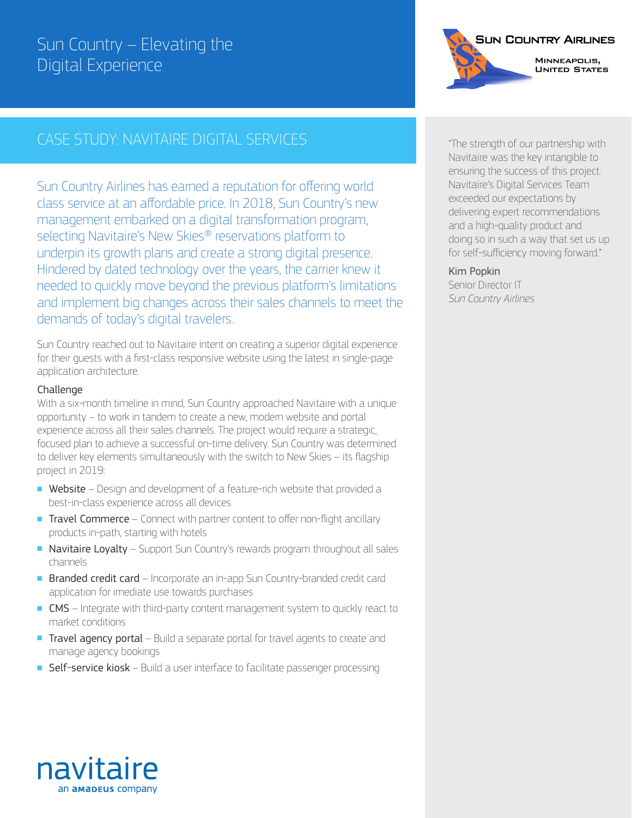### Sun Country – Elevating the Digital Experience

### CASE STUDY: NAVITAIRE DIGITAL SERVICES

Sun Country Airlines has earned a reputation for offering world class service at an affordable price. In 2018, Sun Country's new management embarked on a digital transformation program, selecting Navitaire's New Skies® reservations platform to underpin its growth plans and create a strong digital presence. Hindered by dated technology over the years, the carrier knew it needed to quickly move beyond the previous platform's limitations and implement big changes across their sales channels to meet the demands of today's digital travelers.

Sun Country reached out to Navitaire intent on creating a superior digital experience for their guests with a first-class responsive website using the latest in single-page application architecture.

### **Challenge**

With a six-month timeline in mind, Sun Country approached Navitaire with a unique opportunity – to work in tandem to create a new, modern website and portal experience across all their sales channels. The project would require a strategic, focused plan to achieve a successful on-time delivery. Sun Country was determined to deliver key elements simultaneously with the switch to New Skies – its flagship project in 2019:

- Website Design and development of a feature-rich website that provided a best-in-class experience across all devices
- Travel Commerce Connect with partner content to offer non-flight ancillary products in-path, starting with hotels
- Navitaire Loyalty Support Sun Country's rewards program throughout all sales channels
- Branded credit card Incorporate an in-app Sun Country-branded credit card application for imediate use towards purchases
- CMS Integrate with third-party content management system to quickly react to market conditions
- Travel agency portal Build a separate portal for travel agents to create and manage agency bookings
- Self-service kiosk Build a user interface to facilitate passenger processing



"The strength of our partnership with Navitaire was the key intangible to ensuring the success of this project. Navitaire's Digital Services Team exceeded our expectations by delivering expert recommendations and a high-quality product and doing so in such a way that set us up for self-sufficiency moving forward."

#### Kim Popkin

Senior Director IT *Sun Country Airlines*